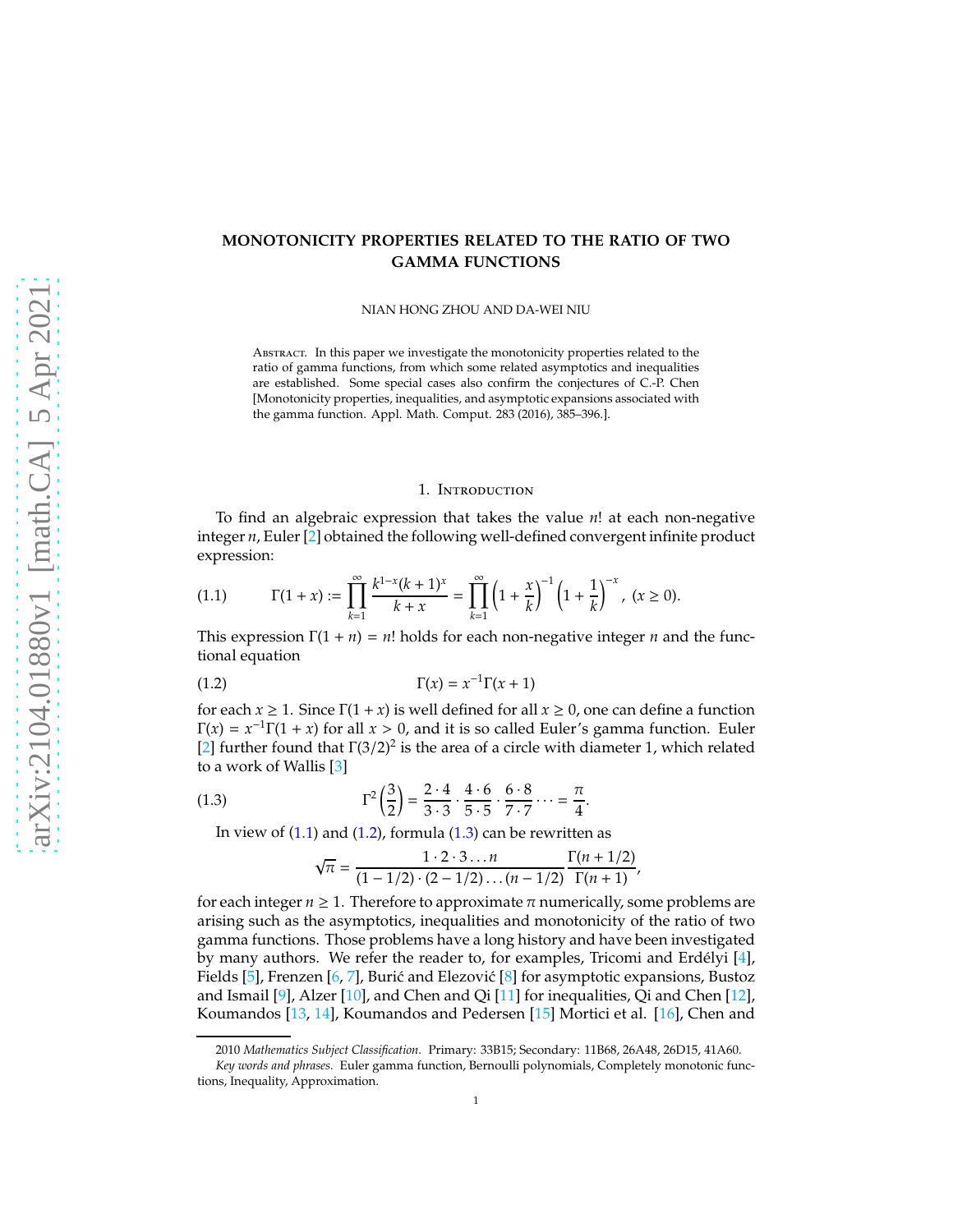# **MONOTONICITY PROPERTIES RELATED TO THE RATIO OF TWO GAMMA FUNCTIONS**

NIAN HONG ZHOU AND DA-WEI NIU

ABSTRACT. In this paper we investigate the monotonicity properties related to the ratio of gamma functions, from which some related asymptotics and inequalities are established. Some special cases also confirm the conjectures of C.-P. Chen [Monotonicity properties, inequalities, and asymptotic expansions associated with the gamma function. Appl. Math. Comput. 283 (2016), 385–396.].

### <span id="page-0-1"></span>1. Introduction

To find an algebraic expression that takes the value *n*! at each non-negative integer *n*, Euler [\[2\]](#page-8-0) obtained the following well-defined convergent infinite product expression:

<span id="page-0-0"></span>
$$
(1.1) \t\Gamma(1+x) := \prod_{k=1}^{\infty} \frac{k^{1-x}(k+1)^x}{k+x} = \prod_{k=1}^{\infty} \left(1 + \frac{x}{k}\right)^{-1} \left(1 + \frac{1}{k}\right)^{-x}, \ (x \ge 0).
$$

This expression  $\Gamma(1 + n) = n!$  holds for each non-negative integer *n* and the functional equation

$$
\Gamma(x) = x^{-1}\Gamma(x+1)
$$

for each  $x \ge 1$ . Since  $\Gamma(1 + x)$  is well defined for all  $x \ge 0$ , one can define a function  $\Gamma(x) = x^{-1}\Gamma(1+x)$  for all  $x > 0$ , and it is so called Euler's gamma function. Euler [\[2\]](#page-8-0) further found that  $\Gamma(3/2)^2$  is the area of a circle with diameter 1, which related to a work of Wallis [\[3\]](#page-8-1)

(1.3) 
$$
\Gamma^2 \left(\frac{3}{2}\right) = \frac{2 \cdot 4}{3 \cdot 3} \cdot \frac{4 \cdot 6}{5 \cdot 5} \cdot \frac{6 \cdot 8}{7 \cdot 7} \cdots = \frac{\pi}{4}.
$$

In view of  $(1.1)$  and  $(1.2)$ , formula  $(1.3)$  can be rewritten as

<span id="page-0-2"></span>
$$
\sqrt{\pi} = \frac{1 \cdot 2 \cdot 3 \dots n}{(1 - 1/2) \cdot (2 - 1/2) \dots (n - 1/2)} \frac{\Gamma(n + 1/2)}{\Gamma(n + 1)},
$$

for each integer  $n \geq 1$ . Therefore to approximate  $\pi$  numerically, some problems are arising such as the asymptotics, inequalities and monotonicity of the ratio of two gamma functions. Those problems have a long history and have been investigated by many authors. We refer the reader to, for examples, Tricomi and Erdélyi  $[4]$ , Fields [\[5\]](#page-9-0), Frenzen [\[6,](#page-9-1) [7\]](#page-9-2), Burić and Elezović [\[8\]](#page-9-3) for asymptotic expansions, Bustoz and Ismail  $[9]$ , Alzer  $[10]$ , and Chen and Qi  $[11]$  for inequalities, Qi and Chen  $[12]$ , Koumandos [\[13,](#page-9-8) [14\]](#page-9-9), Koumandos and Pedersen [\[15\]](#page-9-10) Mortici et al. [\[16\]](#page-9-11), Chen and

<sup>2010</sup> *Mathematics Subject Classification.* Primary: 33B15; Secondary: 11B68, 26A48, 26D15, 41A60.

*Key words and phrases.* Euler gamma function, Bernoulli polynomials, Completely monotonic functions, Inequality, Approximation.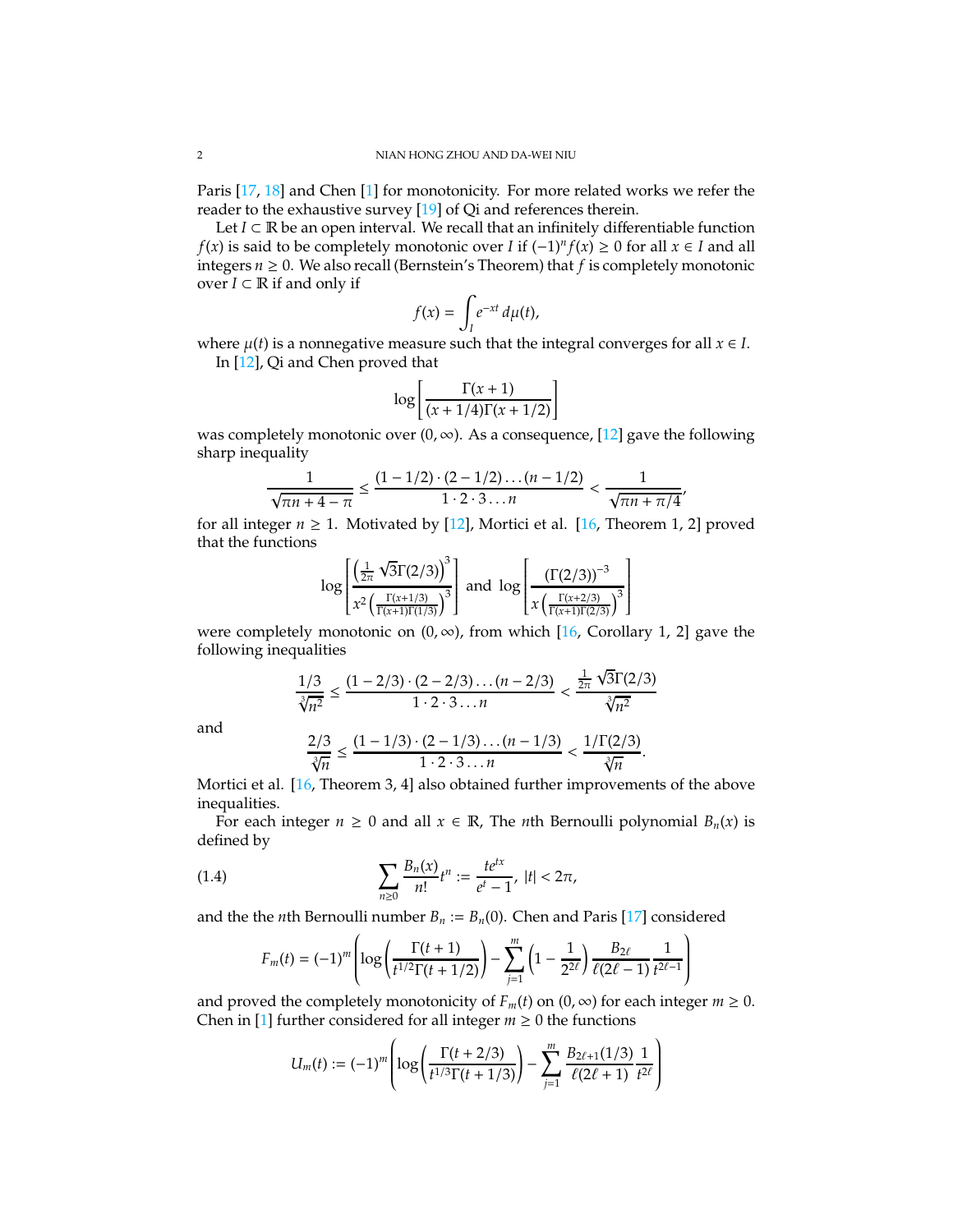Paris [\[17,](#page-9-12) [18\]](#page-9-13) and Chen [\[1\]](#page-8-3) for monotonicity. For more related works we refer the reader to the exhaustive survey [\[19\]](#page-9-14) of Qi and references therein.

Let  $I ⊂ ℝ$  be an open interval. We recall that an infinitely differentiable function *f*(*x*) is said to be completely monotonic over *I* if  $(-1)^n f(x) \ge 0$  for all *x* ∈ *I* and all integers  $n \geq 0$ . We also recall (Bernstein's Theorem) that  $f$  is completely monotonic over  $I \subset \mathbb{R}$  if and only if

$$
f(x) = \int_I e^{-xt} \, d\mu(t),
$$

where  $\mu(t)$  is a nonnegative measure such that the integral converges for all  $x \in I$ .

In [\[12\]](#page-9-7), Qi and Chen proved that

$$
\log\left[\frac{\Gamma(x+1)}{(x+1/4)\Gamma(x+1/2)}\right]
$$

was completely monotonic over  $(0, \infty)$ . As a consequence, [\[12\]](#page-9-7) gave the following sharp inequality

$$
\frac{1}{\sqrt{\pi n+4-\pi}} \le \frac{(1-1/2)\cdot(2-1/2)\dots(n-1/2)}{1\cdot 2\cdot 3\dots n} < \frac{1}{\sqrt{\pi n+\pi/4}}
$$

,

for all integer  $n \geq 1$ . Motivated by [\[12\]](#page-9-7), Mortici et al. [\[16,](#page-9-11) Theorem 1, 2] proved that the functions

$$
\log \left[ \frac{\left(\frac{1}{2\pi} \sqrt{3} \Gamma(2/3)\right)^3}{x^2 \left(\frac{\Gamma(x+1/3)}{\Gamma(x+1) \Gamma(1/3)}\right)^3} \right] \text{ and } \log \left[ \frac{\left(\Gamma(2/3)\right)^{-3}}{x \left(\frac{\Gamma(x+2/3)}{\Gamma(x+1) \Gamma(2/3)}\right)^3} \right]
$$

were completely monotonic on  $(0, \infty)$ , from which [\[16,](#page-9-11) Corollary 1, 2] gave the following inequalities

$$
\frac{1/3}{\sqrt[3]{n^2}} \le \frac{(1-2/3)\cdot(2-2/3)\dots(n-2/3)}{1\cdot 2\cdot 3\dots n} < \frac{\frac{1}{2\pi}\sqrt{3}\Gamma(2/3)}{\sqrt[3]{n^2}}
$$

and

$$
\frac{2/3}{\sqrt[3]{n}} \le \frac{(1-1/3)\cdot (2-1/3)\cdots (n-1/3)}{1\cdot 2\cdot 3\cdots n} < \frac{1/\Gamma(2/3)}{\sqrt[3]{n}}.
$$

Mortici et al. [\[16,](#page-9-11) Theorem 3, 4] also obtained further improvements of the above inequalities.

For each integer  $n \geq 0$  and all  $x \in \mathbb{R}$ , The *n*th Bernoulli polynomial  $B_n(x)$  is defined by

(1.4) 
$$
\sum_{n\geq 0} \frac{B_n(x)}{n!} t^n := \frac{t e^{tx}}{e^t - 1}, \ |t| < 2\pi,
$$

and the the *n*th Bernoulli number  $B_n := B_n(0)$ . Chen and Paris [\[17\]](#page-9-12) considered

<span id="page-1-0"></span>
$$
F_m(t) = (-1)^m \left( \log \left( \frac{\Gamma(t+1)}{t^{1/2} \Gamma(t+1/2)} \right) - \sum_{j=1}^m \left( 1 - \frac{1}{2^{2\ell}} \right) \frac{B_{2\ell}}{\ell(2\ell-1)} \frac{1}{t^{2\ell-1}} \right)
$$

and proved the completely monotonicity of  $F_m(t)$  on  $(0, \infty)$  for each integer  $m \ge 0$ . Chen in [\[1\]](#page-8-3) further considered for all integer  $m \geq 0$  the functions

$$
U_m(t) := (-1)^m \left( \log \left( \frac{\Gamma(t + 2/3)}{t^{1/3} \Gamma(t + 1/3)} \right) - \sum_{j=1}^m \frac{B_{2\ell+1}(1/3)}{\ell(2\ell+1)} \frac{1}{t^{2\ell}} \right)
$$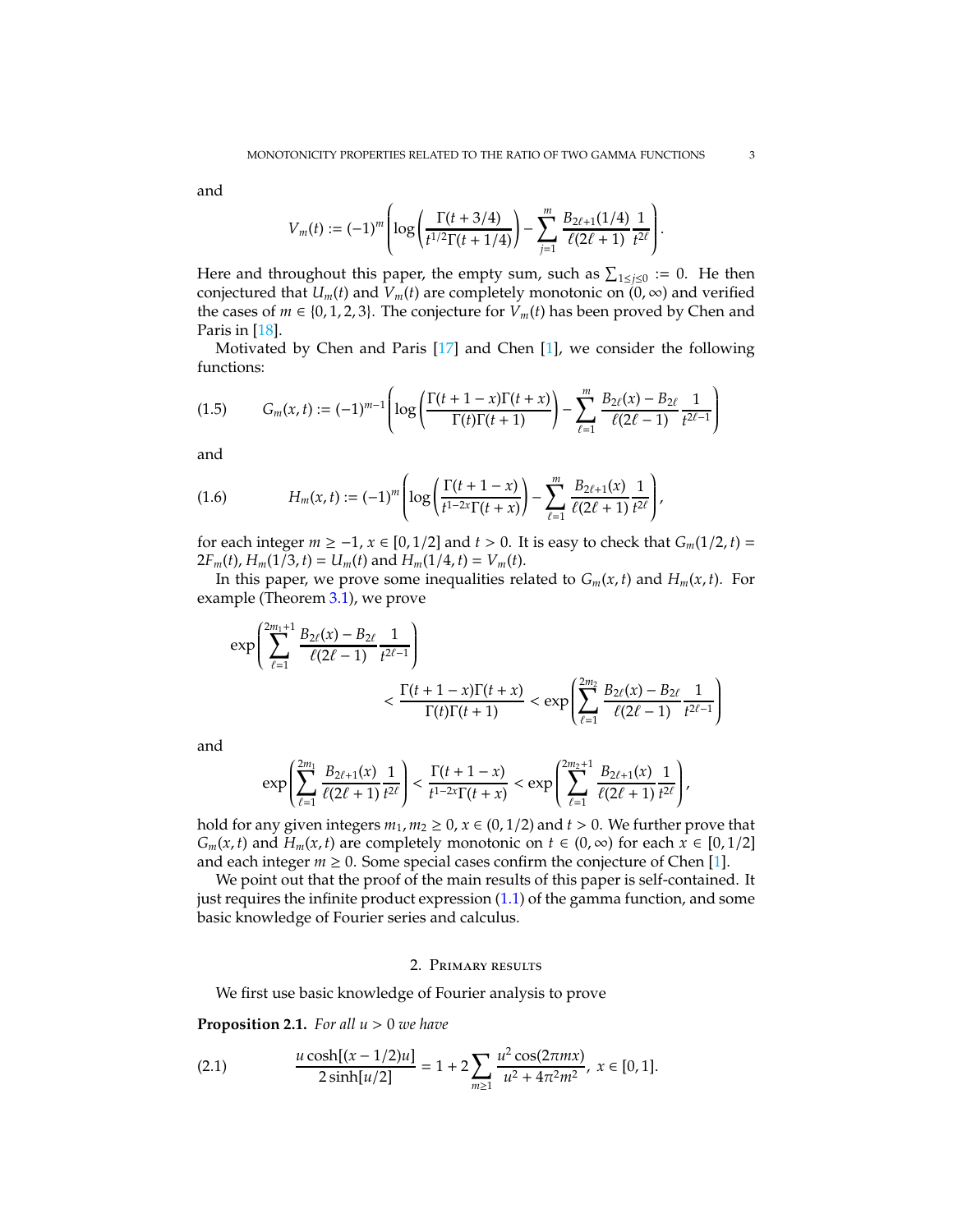and

$$
V_m(t) := (-1)^m \left( \log \left( \frac{\Gamma(t+3/4)}{t^{1/2} \Gamma(t+1/4)} \right) - \sum_{j=1}^m \frac{B_{2\ell+1}(1/4)}{\ell(2\ell+1)} \frac{1}{t^{2\ell}} \right).
$$

Here and throughout this paper, the empty sum, such as  $\sum_{1 \leq j \leq 0} := 0$ . He then conjectured that  $U_m(t)$  and  $V_m(t)$  are completely monotonic on  $(0, \infty)$  and verified the cases of *m* ∈ {0, 1, 2, 3}. The conjecture for  $V_m(t)$  has been proved by Chen and Paris in [\[18\]](#page-9-13).

Motivated by Chen and Paris [\[17\]](#page-9-12) and Chen [\[1\]](#page-8-3), we consider the following functions:

<span id="page-2-3"></span>
$$
(1.5) \tG_m(x,t) := (-1)^{m-1} \left( \log \left( \frac{\Gamma(t+1-x)\Gamma(t+x)}{\Gamma(t)\Gamma(t+1)} \right) - \sum_{\ell=1}^m \frac{B_{2\ell}(x) - B_{2\ell}}{\ell(2\ell-1)} \frac{1}{t^{2\ell-1}} \right)
$$

and

<span id="page-2-2"></span>(1.6) 
$$
H_m(x,t) := (-1)^m \left( \log \left( \frac{\Gamma(t+1-x)}{t^{1-2x} \Gamma(t+x)} \right) - \sum_{\ell=1}^m \frac{B_{2\ell+1}(x)}{\ell(2\ell+1)} \frac{1}{t^{2\ell}} \right),
$$

for each integer  $m$  ≥ −1,  $x \in [0, 1/2]$  and  $t > 0$ . It is easy to check that  $G_m(1/2, t) =$  $2F_m(t)$ ,  $H_m(1/3, t) = U_m(t)$  and  $H_m(1/4, t) = V_m(t)$ .

In this paper, we prove some inequalities related to  $G_m(x, t)$  and  $H_m(x, t)$ . For example (Theorem [3.1\)](#page-8-4), we prove

$$
\exp\left(\sum_{\ell=1}^{2m_1+1}\frac{B_{2\ell}(x)-B_{2\ell}}{\ell(2\ell-1)}\frac{1}{t^{2\ell-1}}\right) \n< \frac{\Gamma(t+1-x)\Gamma(t+x)}{\Gamma(t)\Gamma(t+1)} < \exp\left(\sum_{\ell=1}^{2m_2}\frac{B_{2\ell}(x)-B_{2\ell}}{\ell(2\ell-1)}\frac{1}{t^{2\ell-1}}\right)
$$

and

$$
\exp\left(\sum_{\ell=1}^{2m_1}\frac{B_{2\ell+1}(x)}{\ell(2\ell+1)}\frac{1}{t^{2\ell}}\right)<\frac{\Gamma(t+1-x)}{t^{1-2x}\Gamma(t+x)}<\exp\left(\sum_{\ell=1}^{2m_2+1}\frac{B_{2\ell+1}(x)}{\ell(2\ell+1)}\frac{1}{t^{2\ell}}\right),
$$

hold for any given integers  $m_1, m_2 \ge 0$ ,  $x \in (0, 1/2)$  and  $t > 0$ . We further prove that *G*<sup>*m*</sup>(*x*, *t*) and *H*<sup>*m*</sup>(*x*, *t*) are completely monotonic on *t* ∈ (0, ∞) for each *x* ∈ [0, 1/2] and each integer  $m \geq 0$ . Some special cases confirm the conjecture of Chen [\[1\]](#page-8-3).

We point out that the proof of the main results of this paper is self-contained. It just requires the infinite product expression [\(1.1\)](#page-0-0) of the gamma function, and some basic knowledge of Fourier series and calculus.

### 2. Primary results

We first use basic knowledge of Fourier analysis to prove

<span id="page-2-0"></span>**Proposition 2.1.** *For all u* > 0 *we have*

<span id="page-2-1"></span>(2.1) 
$$
\frac{u \cosh[(x-1/2)u]}{2 \sinh[u/2]} = 1 + 2 \sum_{m \ge 1} \frac{u^2 \cos(2\pi mx)}{u^2 + 4\pi^2 m^2}, \ x \in [0,1].
$$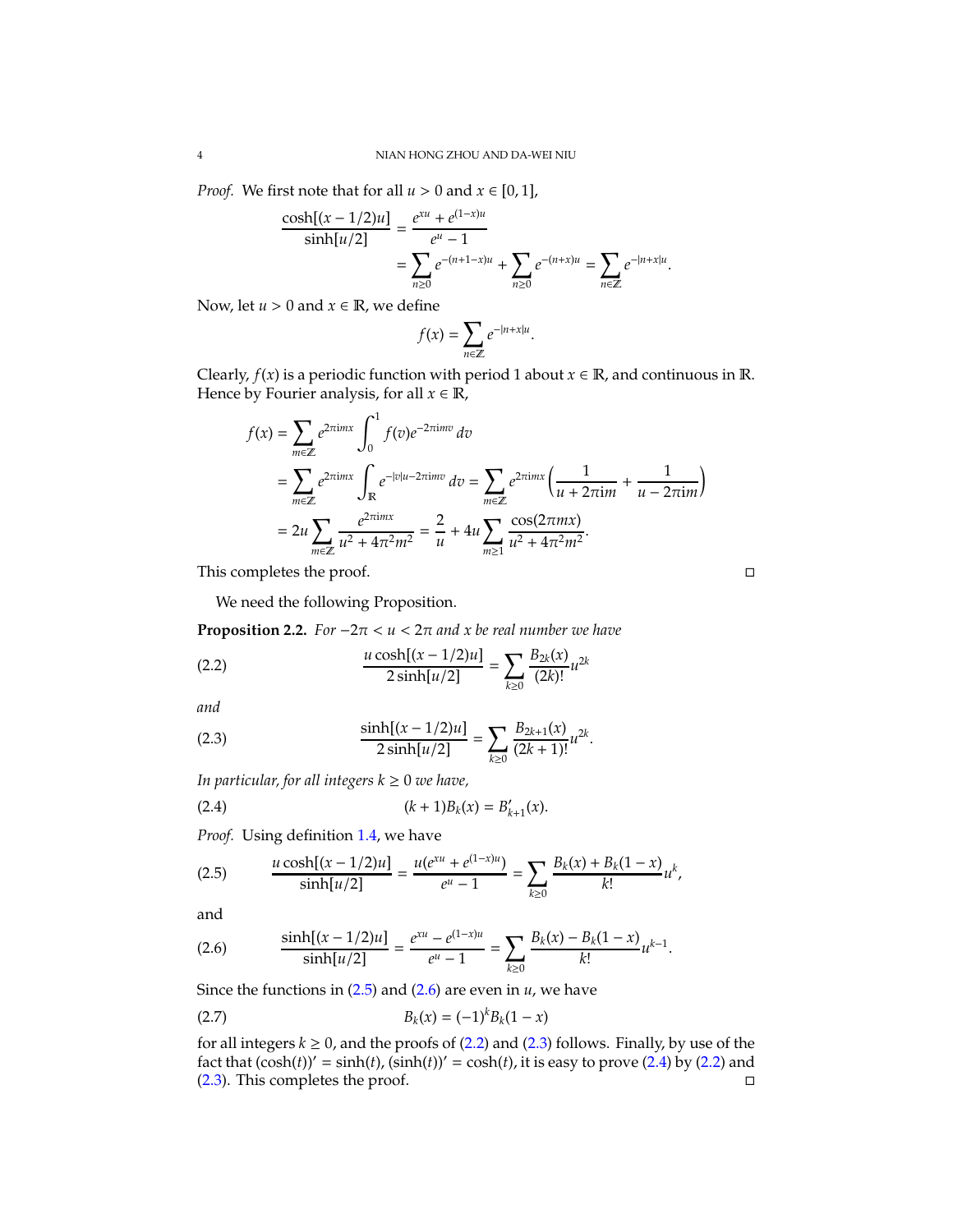*Proof.* We first note that for all  $u > 0$  and  $x \in [0, 1]$ ,

$$
\frac{\cosh[(x-1/2)u]}{\sinh[u/2]} = \frac{e^{xu} + e^{(1-x)u}}{e^u - 1}
$$

$$
= \sum_{n\geq 0} e^{-(n+1-x)u} + \sum_{n\geq 0} e^{-(n+x)u} = \sum_{n\in\mathbb{Z}} e^{-|n+x|u}.
$$

Now, let  $u > 0$  and  $x \in \mathbb{R}$ , we define

$$
f(x) = \sum_{n \in \mathbb{Z}} e^{-|n + x|u}.
$$

Clearly,  $f(x)$  is a periodic function with period 1 about  $x \in \mathbb{R}$ , and continuous in  $\mathbb{R}$ . Hence by Fourier analysis, for all  $x \in \mathbb{R}$ ,

$$
f(x) = \sum_{m \in \mathbb{Z}} e^{2\pi i m x} \int_0^1 f(v)e^{-2\pi i mv} dv
$$
  
= 
$$
\sum_{m \in \mathbb{Z}} e^{2\pi i m x} \int_{\mathbb{R}} e^{-|v|u-2\pi i mv} dv = \sum_{m \in \mathbb{Z}} e^{2\pi i m x} \left( \frac{1}{u + 2\pi i m} + \frac{1}{u - 2\pi i m} \right)
$$
  
= 
$$
2u \sum_{m \in \mathbb{Z}} \frac{e^{2\pi i m x}}{u^2 + 4\pi^2 m^2} = \frac{2}{u} + 4u \sum_{m \ge 1} \frac{\cos(2\pi m x)}{u^2 + 4\pi^2 m^2}.
$$

<span id="page-3-4"></span>.

This completes the proof.

<span id="page-3-2"></span>We need the following Proposition.

<span id="page-3-5"></span>**Proposition 2.2.** *For*  $-2\pi < u < 2\pi$  *and x be real number we have* 

(2.2) 
$$
\frac{u \cosh[(x - 1/2)u]}{2 \sinh[u/2]} = \sum_{k \ge 0} \frac{B_{2k}(x)}{(2k)!} u^{2k}
$$

*and*

<span id="page-3-3"></span>(2.3) 
$$
\frac{\sinh[(x-1/2)u]}{2\sinh[u/2]} = \sum_{k\geq 0} \frac{B_{2k+1}(x)}{(2k+1)!}u^{2k}
$$

*In particular, for all integers*  $k \geq 0$  *we have,* 

(2.4) 
$$
(k+1)B_k(x) = B'_{k+1}(x).
$$

*Proof.* Using definition [1.4,](#page-1-0) we have

<span id="page-3-0"></span>(2.5) 
$$
\frac{u \cosh[(x-1/2)u]}{\sinh[u/2]} = \frac{u(e^{xu} + e^{(1-x)u})}{e^u - 1} = \sum_{k \ge 0} \frac{B_k(x) + B_k(1-x)}{k!} u^k,
$$

and

<span id="page-3-1"></span>(2.6) 
$$
\frac{\sinh[(x-1/2)u]}{\sinh[u/2]} = \frac{e^{xu} - e^{(1-x)u}}{e^u - 1} = \sum_{k \ge 0} \frac{B_k(x) - B_k(1-x)}{k!} u^{k-1}.
$$

Since the functions in [\(2.5\)](#page-3-0) and [\(2.6\)](#page-3-1) are even in *u*, we have

<span id="page-3-6"></span>(2.7) 
$$
B_k(x) = (-1)^k B_k(1-x)
$$

for all integers  $k \geq 0$ , and the proofs of  $(2.2)$  and  $(2.3)$  follows. Finally, by use of the fact that  $(\cosh(t))' = \sinh(t)$ ,  $(\sinh(t))' = \cosh(t)$ , it is easy to prove [\(2.4\)](#page-3-4) by [\(2.2\)](#page-3-2) and  $(2.3)$ . This completes the proof.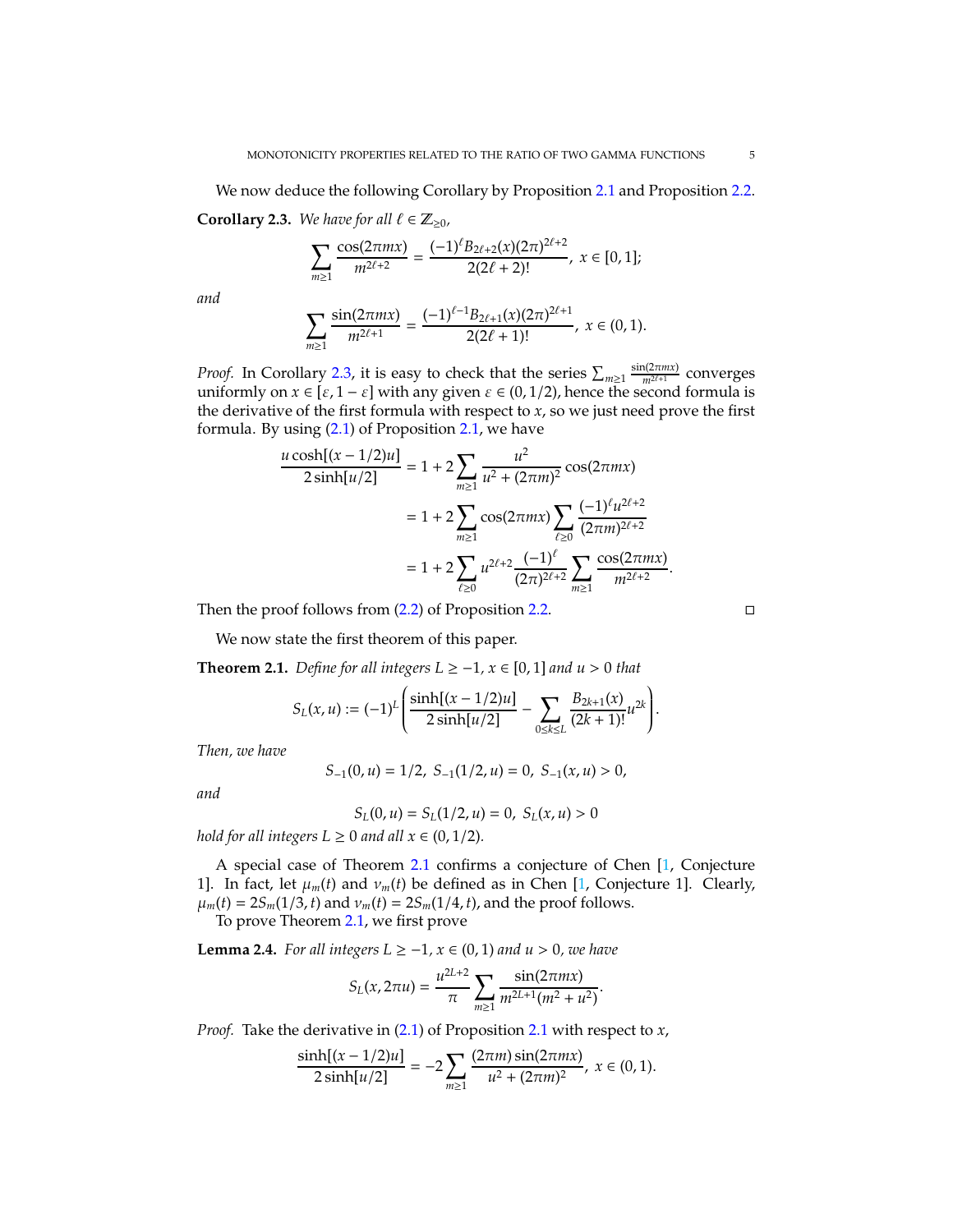<span id="page-4-0"></span>We now deduce the following Corollary by Proposition [2.1](#page-2-0) and Proposition [2.2.](#page-3-5) **Corollary 2.3.** *We have for all*  $\ell \in \mathbb{Z}_{\geq 0}$ *,* 

$$
\sum_{m\geq 1}\frac{\cos(2\pi mx)}{m^{2\ell+2}}=\frac{(-1)^{\ell}B_{2\ell+2}(x)(2\pi)^{2\ell+2}}{2(2\ell+2)!},\;x\in[0,1];
$$

*and*

$$
\sum_{m\geq 1}\frac{\sin(2\pi mx)}{m^{2\ell+1}}=\frac{(-1)^{\ell-1}B_{2\ell+1}(x)(2\pi)^{2\ell+1}}{2(2\ell+1)!},\; x\in (0,1).
$$

*Proof.* In Corollary [2.3,](#page-4-0) it is easy to check that the series  $\sum_{m\geq 1} \frac{\sin(2\pi mx)}{m^{2\ell+1}}$  converges uniformly on  $x \in [\varepsilon, 1 - \varepsilon]$  with any given  $\varepsilon \in (0, 1/2)$ , hence the second formula is the derivative of the first formula with respect to  $x$ , so we just need prove the first formula. By using  $(2.1)$  of Proposition [2.1,](#page-2-0) we have

$$
\frac{u \cosh[(x - 1/2)u]}{2 \sinh[u/2]} = 1 + 2 \sum_{m \ge 1} \frac{u^2}{u^2 + (2\pi m)^2} \cos(2\pi mx)
$$

$$
= 1 + 2 \sum_{m \ge 1} \cos(2\pi mx) \sum_{\ell \ge 0} \frac{(-1)^{\ell} u^{2\ell + 2}}{(2\pi m)^{2\ell + 2}}
$$

$$
= 1 + 2 \sum_{\ell \ge 0} u^{2\ell + 2} \frac{(-1)^{\ell}}{(2\pi)^{2\ell + 2}} \sum_{m \ge 1} \frac{\cos(2\pi mx)}{m^{2\ell + 2}}
$$

Then the proof follows from  $(2.2)$  of Proposition [2.2.](#page-3-5)

We now state the first theorem of this paper.

<span id="page-4-1"></span>**Theorem 2.1.** *Define for all integers*  $L ≥ -1$ *,*  $x ∈ [0, 1]$  *and*  $u > 0$  *that* 

$$
S_L(x,u):=(-1)^L\left(\frac{\sinh[(x-1/2)u]}{2\sinh[u/2]}-\sum_{0\leq k\leq L}\frac{B_{2k+1}(x)}{(2k+1)!}u^{2k}\right).
$$

*Then, we have*

$$
S_{-1}(0,u)=1/2,\; S_{-1}(1/2,u)=0,\; S_{-1}(x,u)>0,
$$

*and*

$$
S_L(0, u) = S_L(1/2, u) = 0, S_L(x, u) > 0
$$

*hold for all integers*  $L \geq 0$  *and all*  $x \in (0, 1/2)$ *.* 

A special case of Theorem [2.1](#page-4-1) confirms a conjecture of Chen [\[1,](#page-8-3) Conjecture 1]. In fact, let  $\mu_m(t)$  and  $\nu_m(t)$  be defined as in Chen [\[1,](#page-8-3) Conjecture 1]. Clearly,  $\mu_m(t) = 2S_m(1/3, t)$  and  $\nu_m(t) = 2S_m(1/4, t)$ , and the proof follows.

To prove Theorem [2.1,](#page-4-1) we first prove

<span id="page-4-2"></span>**Lemma 2.4.** *For all integers*  $L ≥ -1$ *,*  $x ∈ (0, 1)$  *and*  $u > 0$ *, we have* 

$$
S_L(x, 2\pi u) = \frac{u^{2L+2}}{\pi} \sum_{m \ge 1} \frac{\sin(2\pi mx)}{m^{2L+1}(m^2 + u^2)}.
$$

*Proof.* Take the derivative in [\(2.1\)](#page-2-1) of Proposition [2.1](#page-2-0) with respect to *x*,

$$
\frac{\sinh[(x-1/2)u]}{2\sinh[u/2]} = -2\sum_{m\geq 1} \frac{(2\pi m)\sin(2\pi mx)}{u^2 + (2\pi m)^2}, x \in (0,1).
$$

.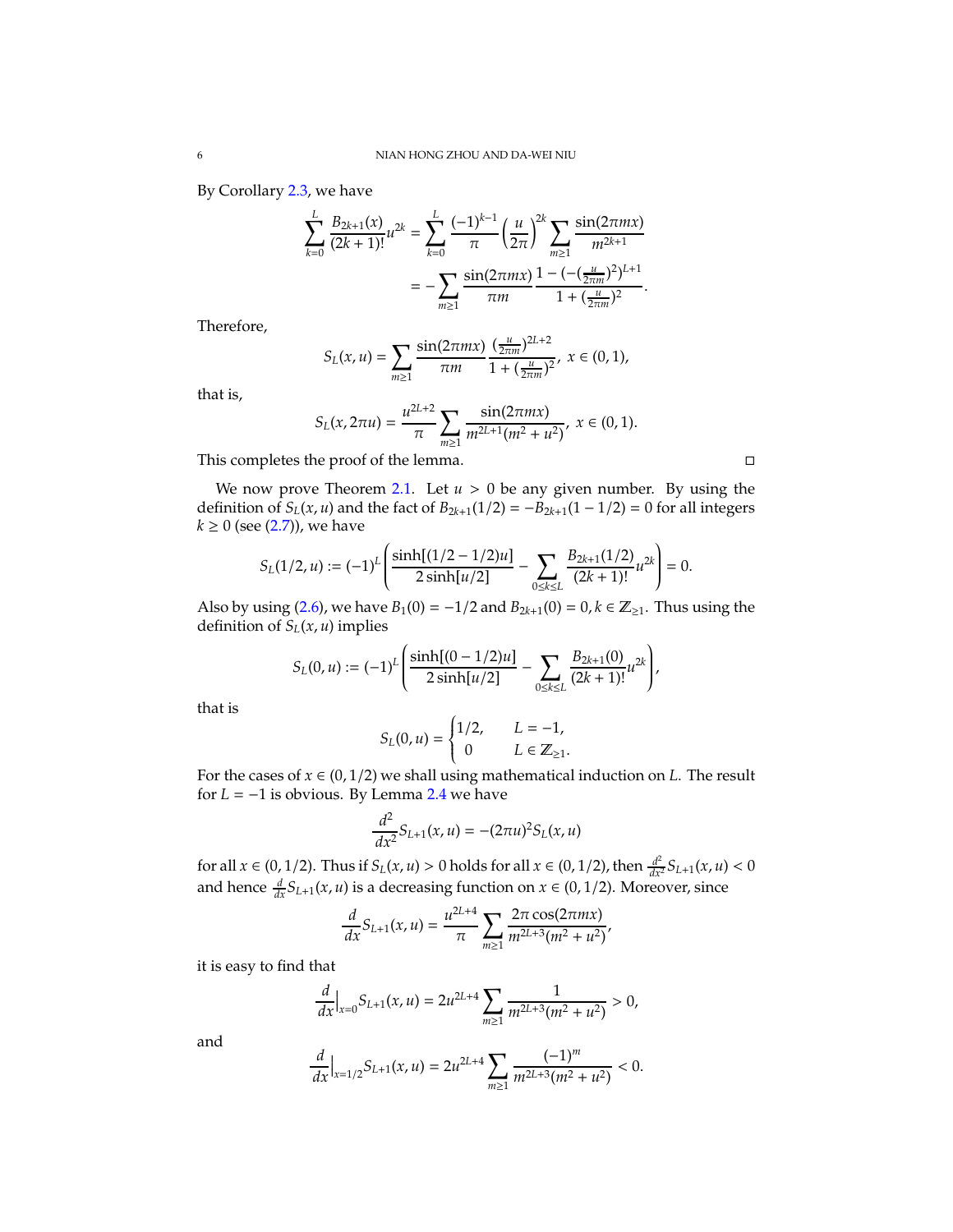By Corollary [2.3,](#page-4-0) we have

$$
\sum_{k=0}^{L} \frac{B_{2k+1}(x)}{(2k+1)!} u^{2k} = \sum_{k=0}^{L} \frac{(-1)^{k-1}}{\pi} \left(\frac{u}{2\pi}\right)^{2k} \sum_{m\geq 1} \frac{\sin(2\pi mx)}{m^{2k+1}}
$$

$$
= -\sum_{m\geq 1} \frac{\sin(2\pi mx)}{\pi m} \frac{1 - (-\frac{u}{2\pi m})^2}{1 + (\frac{u}{2\pi m})^2}.
$$

Therefore,

$$
S_L(x,u)=\sum_{m\geq 1}\frac{\sin(2\pi mx)}{\pi m}\frac{(\frac{u}{2\pi m})^{2L+2}}{1+(\frac{u}{2\pi m})^2},\;x\in (0,1),
$$

that is,

$$
S_L(x, 2\pi u) = \frac{u^{2L+2}}{\pi} \sum_{m \ge 1} \frac{\sin(2\pi mx)}{m^{2L+1}(m^2 + u^2)}, x \in (0, 1).
$$

This completes the proof of the lemma.

We now prove Theorem [2.1.](#page-4-1) Let  $u > 0$  be any given number. By using the definition of *S*<sup>*L*</sup>(*x*, *u*) and the fact of *B*<sub>2*k*+1</sub>(1/2) = −*B*<sub>2*k*+1</sub>(1 − 1/2) = 0 for all integers  $k$  ≥ 0 (see [\(2.7\)](#page-3-6)), we have

$$
S_L(1/2, u) := (-1)^L \left( \frac{\sinh[(1/2 - 1/2)u]}{2 \sinh[u/2]} - \sum_{0 \le k \le L} \frac{B_{2k+1}(1/2)}{(2k+1)!} u^{2k} \right) = 0.
$$

Also by using [\(2.6\)](#page-3-1), we have *B*<sub>1</sub>(0) = −1/2 and *B*<sub>2*k*+1</sub>(0) = 0, *k* ∈  $\mathbb{Z}_{\ge 1}$ . Thus using the definition of  $S_L(x, u)$  implies

$$
S_L(0, u) := (-1)^L \left( \frac{\sinh[(0 - 1/2)u]}{2 \sinh[u/2]} - \sum_{0 \le k \le L} \frac{B_{2k+1}(0)}{(2k+1)!} u^{2k} \right),
$$

that is

$$
S_L(0, u) = \begin{cases} 1/2, & L = -1, \\ 0 & L \in \mathbb{Z}_{\geq 1}. \end{cases}
$$

For the cases of  $x \in (0, 1/2)$  we shall using mathematical induction on *L*. The result for  $L = -1$  is obvious. By Lemma [2.4](#page-4-2) we have

$$
\frac{d^2}{dx^2}S_{L+1}(x,u) = -(2\pi u)^2S_L(x,u)
$$

for all *x* ∈ (0, 1/2). Thus if *S*<sub>*L*</sub>(*x*, *u*) > 0 holds for all *x* ∈ (0, 1/2), then  $\frac{d^2}{dx^2}S_{L+1}(x, u) < 0$ and hence  $\frac{d}{dx}S_{L+1}(x, u)$  is a decreasing function on  $x \in (0, 1/2)$ . Moreover, since

$$
\frac{d}{dx}S_{L+1}(x,u)=\frac{u^{2L+4}}{\pi}\sum_{m\geq 1}\frac{2\pi\cos(2\pi mx)}{m^{2L+3}(m^2+u^2)},
$$

it is easy to find that

$$
\frac{d}{dx}\Big|_{x=0} S_{L+1}(x,u) = 2u^{2L+4} \sum_{m\geq 1} \frac{1}{m^{2L+3}(m^2+u^2)} > 0,
$$

and

$$
\frac{d}{dx}\Big|_{x=1/2}S_{L+1}(x,u)=2u^{2L+4}\sum_{m\geq 1}\frac{(-1)^m}{m^{2L+3}(m^2+u^2)}<0.
$$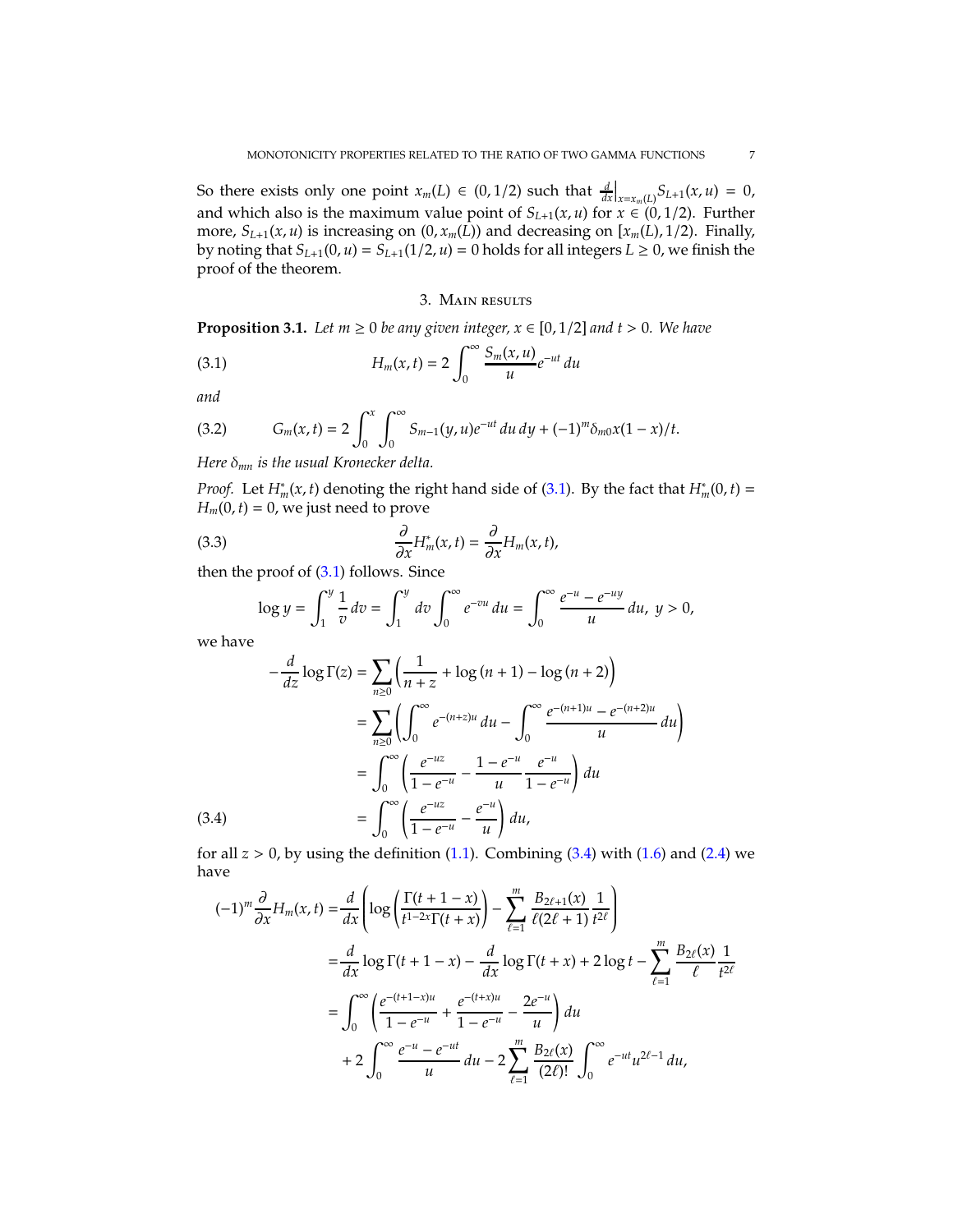So there exists only one point  $x_m(L) \in (0, 1/2)$  such that  $\frac{d}{dx}\Big|_{x=x_m(L)} S_{L+1}(x, u) = 0$ , and which also is the maximum value point of  $S_{L+1}(x, u)$  for  $\tilde{x} \in (0, 1/2)$ . Further more,  $S_{L+1}(x, u)$  is increasing on  $(0, x_m(L))$  and decreasing on  $[x_m(L), 1/2)$ . Finally, by noting that  $S_{L+1}(0, u) = S_{L+1}(1/2, u) = 0$  holds for all integers  $L \ge 0$ , we finish the proof of the theorem.

## <span id="page-6-0"></span>3. Main results

<span id="page-6-4"></span>**Proposition 3.1.** *Let*  $m \ge 0$  *be any given integer,*  $x \in [0, 1/2]$  *and*  $t > 0$ *. We have* 

(3.1) 
$$
H_m(x,t) = 2 \int_0^\infty \frac{S_m(x,u)}{u} e^{-ut} du
$$

*and*

<span id="page-6-3"></span>(3.2) 
$$
G_m(x,t) = 2 \int_0^x \int_0^{\infty} S_{m-1}(y,u)e^{-ut} du dy + (-1)^m \delta_{m0}x(1-x)/t.
$$

*Here* δ*mn is the usual Kronecker delta.*

*Proof.* Let  $H_m^*(x, t)$  denoting the right hand side of [\(3.1\)](#page-6-0). By the fact that  $H_m^*(0, t) =$  $H_m(0, t) = 0$ , we just need to prove

(3.3) 
$$
\frac{\partial}{\partial x}H_m^*(x,t) = \frac{\partial}{\partial x}H_m(x,t),
$$

then the proof of  $(3.1)$  follows. Since

<span id="page-6-2"></span>
$$
\log y = \int_1^y \frac{1}{v} dv = \int_1^y dv \int_0^{\infty} e^{-vu} du = \int_0^{\infty} \frac{e^{-u} - e^{-uy}}{u} du, \ y > 0,
$$

we have

$$
-\frac{d}{dz}\log\Gamma(z) = \sum_{n\geq 0} \left(\frac{1}{n+z} + \log(n+1) - \log(n+2)\right)
$$
  
= 
$$
\sum_{n\geq 0} \left(\int_0^{\infty} e^{-(n+z)u} du - \int_0^{\infty} \frac{e^{-(n+1)u} - e^{-(n+2)u}}{u} du\right)
$$
  
= 
$$
\int_0^{\infty} \left(\frac{e^{-uz}}{1 - e^{-u}} - \frac{1 - e^{-u}}{u}\frac{e^{-u}}{1 - e^{-u}}\right) du
$$
  
(3.4) = 
$$
\int_0^{\infty} \left(\frac{e^{-uz}}{1 - e^{-u}} - \frac{e^{-u}}{u}\right) du,
$$

<span id="page-6-1"></span>for all  $z > 0$ , by using the definition  $(1.1)$ . Combining  $(3.4)$  with  $(1.6)$  and  $(2.4)$  we have

$$
(-1)^{m} \frac{\partial}{\partial x} H_{m}(x, t) = \frac{d}{dx} \left( \log \left( \frac{\Gamma(t + 1 - x)}{t^{1 - 2x} \Gamma(t + x)} \right) - \sum_{\ell=1}^{m} \frac{B_{2\ell+1}(x)}{\ell(2\ell+1)} \frac{1}{t^{2\ell}} \right)
$$
  

$$
= \frac{d}{dx} \log \Gamma(t + 1 - x) - \frac{d}{dx} \log \Gamma(t + x) + 2 \log t - \sum_{\ell=1}^{m} \frac{B_{2\ell}(x)}{\ell} \frac{1}{t^{2\ell}}
$$
  

$$
= \int_{0}^{\infty} \left( \frac{e^{-(t + 1 - x)u}}{1 - e^{-u}} + \frac{e^{-(t + x)u}}{1 - e^{-u}} - \frac{2e^{-u}}{u} \right) du
$$
  

$$
+ 2 \int_{0}^{\infty} \frac{e^{-u} - e^{-ut}}{u} du - 2 \sum_{\ell=1}^{m} \frac{B_{2\ell}(x)}{(2\ell)!} \int_{0}^{\infty} e^{-ut} u^{2\ell-1} du,
$$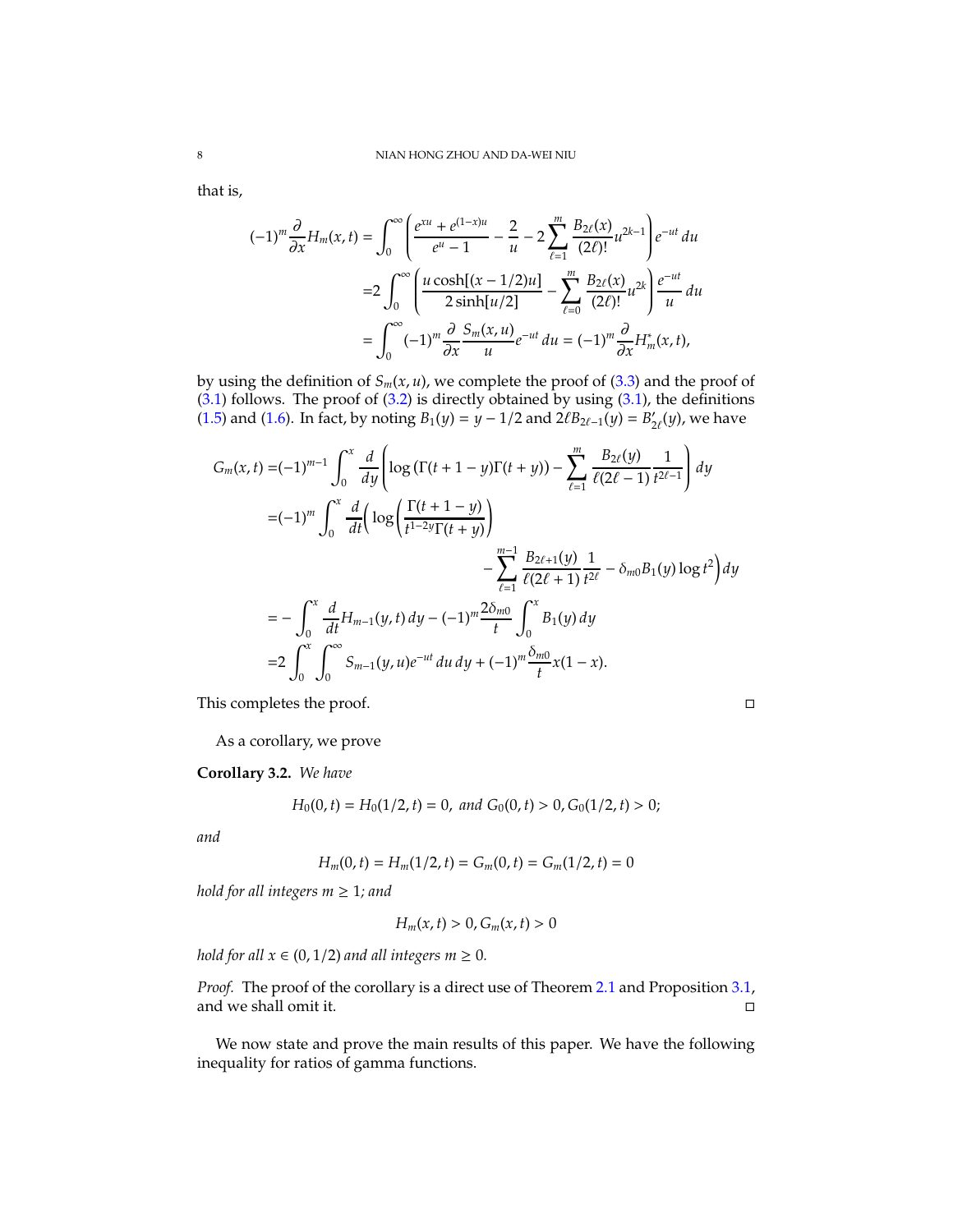that is,

$$
(-1)^{m} \frac{\partial}{\partial x} H_{m}(x, t) = \int_{0}^{\infty} \left( \frac{e^{xu} + e^{(1-x)u}}{e^{u} - 1} - \frac{2}{u} - 2 \sum_{\ell=1}^{m} \frac{B_{2\ell}(x)}{(2\ell)!} u^{2k-1} \right) e^{-ut} du
$$
  

$$
= 2 \int_{0}^{\infty} \left( \frac{u \cosh[(x - 1/2)u]}{2 \sinh[u/2]} - \sum_{\ell=0}^{m} \frac{B_{2\ell}(x)}{(2\ell)!} u^{2k} \right) \frac{e^{-ut}}{u} du
$$
  

$$
= \int_{0}^{\infty} (-1)^{m} \frac{\partial}{\partial x} \frac{S_{m}(x, u)}{u} e^{-ut} du = (-1)^{m} \frac{\partial}{\partial x} H_{m}^{*}(x, t),
$$

by using the definition of  $S_m(x, u)$ , we complete the proof of [\(3.3\)](#page-6-2) and the proof of  $(3.1)$  follows. The proof of  $(3.2)$  is directly obtained by using  $(3.1)$ , the definitions [\(1.5\)](#page-2-3) and [\(1.6\)](#page-2-2). In fact, by noting  $B_1(y) = y - 1/2$  and  $2\ell B_{2\ell-1}(y) = B'_{2\ell}(y)$ , we have

$$
G_m(x,t) = (-1)^{m-1} \int_0^x \frac{d}{dy} \left[ \log \left( \Gamma(t+1-y) \Gamma(t+y) \right) - \sum_{\ell=1}^m \frac{B_{2\ell}(y)}{\ell(2\ell-1)} \frac{1}{t^{2\ell-1}} \right] dy
$$
  
\n
$$
= (-1)^m \int_0^x \frac{d}{dt} \left( \log \left( \frac{\Gamma(t+1-y)}{t^{1-2y} \Gamma(t+y)} \right) - \sum_{\ell=1}^{m-1} \frac{B_{2\ell+1}(y)}{\ell(2\ell+1)} \frac{1}{t^{2\ell}} - \delta_{m0} B_1(y) \log t^2 \right) dy
$$
  
\n
$$
= - \int_0^x \frac{d}{dt} H_{m-1}(y,t) dy - (-1)^m \frac{2\delta_{m0}}{t} \int_0^x B_1(y) dy
$$
  
\n
$$
= 2 \int_0^x \int_0^{\infty} S_{m-1}(y,u) e^{-ut} du dy + (-1)^m \frac{\delta_{m0}}{t} x (1-x).
$$

This completes the proof.

As a corollary, we prove

<span id="page-7-0"></span>**Corollary 3.2.** *We have*

$$
H_0(0,t) = H_0(1/2,t) = 0, and G_0(0,t) > 0, G_0(1/2,t) > 0;
$$

*and*

$$
H_m(0,t) = H_m(1/2,t) = G_m(0,t) = G_m(1/2,t) = 0
$$

*hold for all integers*  $m \geq 1$ *; and* 

$$
H_m(x,t) > 0, G_m(x,t) > 0
$$

*hold for all*  $x \in (0, 1/2)$  *and all integers m*  $\geq 0$ *.* 

*Proof.* The proof of the corollary is a direct use of Theorem [2.1](#page-4-1) and Proposition [3.1,](#page-6-4) and we shall omit it.

We now state and prove the main results of this paper. We have the following inequality for ratios of gamma functions.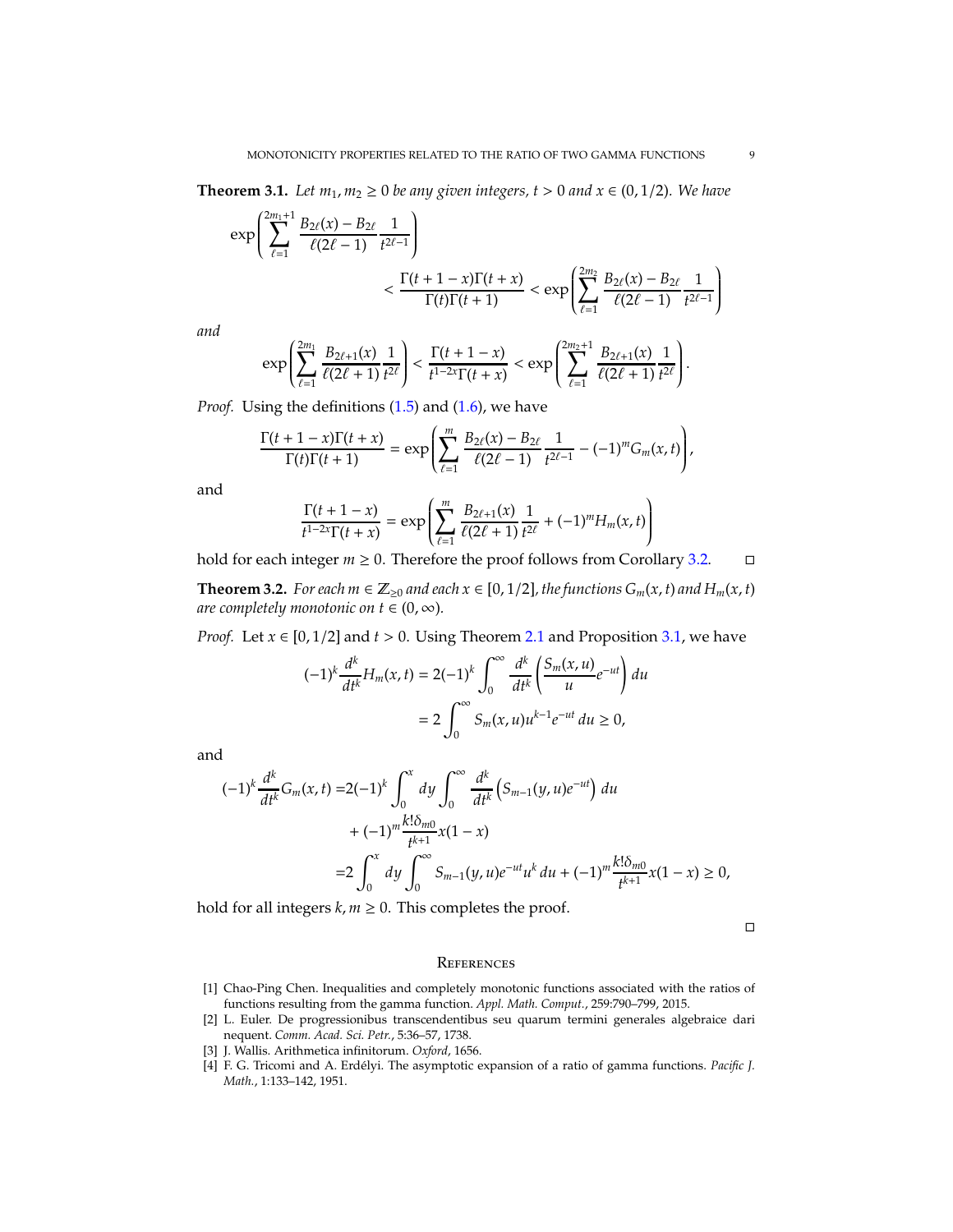<span id="page-8-4"></span>**Theorem 3.1.** *Let*  $m_1, m_2 \ge 0$  *be any given integers, t* > 0 *and*  $x \in (0, 1/2)$ *. We have* 

$$
\exp\left(\sum_{\ell=1}^{2m_1+1}\frac{B_{2\ell}(x)-B_{2\ell}}{\ell(2\ell-1)}\frac{1}{t^{2\ell-1}}\right) \n< \frac{\Gamma(t+1-x)\Gamma(t+x)}{\Gamma(t)\Gamma(t+1)} < \exp\left(\sum_{\ell=1}^{2m_2}\frac{B_{2\ell}(x)-B_{2\ell}}{\ell(2\ell-1)}\frac{1}{t^{2\ell-1}}\right)
$$

*and*

$$
\exp\left(\sum_{\ell=1}^{2m_1}\frac{B_{2\ell+1}(x)}{\ell(2\ell+1)}\frac{1}{t^{2\ell}}\right)<\frac{\Gamma(t+1-x)}{t^{1-2x}\Gamma(t+x)}<\exp\left(\sum_{\ell=1}^{2m_2+1}\frac{B_{2\ell+1}(x)}{\ell(2\ell+1)}\frac{1}{t^{2\ell}}\right).
$$

*Proof.* Using the definitions [\(1.5\)](#page-2-3) and [\(1.6\)](#page-2-2), we have

$$
\frac{\Gamma(t+1-x)\Gamma(t+x)}{\Gamma(t)\Gamma(t+1)} = \exp\left(\sum_{\ell=1}^m \frac{B_{2\ell}(x)-B_{2\ell}}{\ell(2\ell-1)}\frac{1}{t^{2\ell-1}} - (-1)^m G_m(x,t)\right),
$$

and

$$
\frac{\Gamma(t+1-x)}{t^{1-2x}\Gamma(t+x)} = \exp\left(\sum_{\ell=1}^m \frac{B_{2\ell+1}(x)}{\ell(2\ell+1)}\frac{1}{t^{2\ell}} + (-1)^m H_m(x,t)\right)
$$

hold for each integer  $m \ge 0$ . Therefore the proof follows from Corollary [3.2.](#page-7-0)  $□$ 

**Theorem 3.2.** *For each m*  $\in \mathbb{Z}_{\geq 0}$  *and each*  $x \in [0, 1/2]$ *, the functions*  $G_m(x, t)$  *and*  $H_m(x, t)$ *are completely monotonic on*  $t \in (0, \infty)$ *.* 

*Proof.* Let  $x \in [0, 1/2]$  and  $t > 0$ . Using Theorem [2.1](#page-4-1) and Proposition [3.1,](#page-6-4) we have

$$
(-1)^k \frac{d^k}{dt^k} H_m(x, t) = 2(-1)^k \int_0^\infty \frac{d^k}{dt^k} \left( \frac{S_m(x, u)}{u} e^{-ut} \right) du
$$
  
=  $2 \int_0^\infty S_m(x, u) u^{k-1} e^{-ut} du \ge 0,$ 

and

$$
(-1)^{k} \frac{d^{k}}{dt^{k}} G_{m}(x, t) = 2(-1)^{k} \int_{0}^{x} dy \int_{0}^{\infty} \frac{d^{k}}{dt^{k}} \left( S_{m-1}(y, u)e^{-ut} \right) du
$$
  
+  $(-1)^{m} \frac{k! \delta_{m0}}{t^{k+1}} x(1-x)$   
=  $2 \int_{0}^{x} dy \int_{0}^{\infty} S_{m-1}(y, u)e^{-ut}u^{k} du + (-1)^{m} \frac{k! \delta_{m0}}{t^{k+1}} x(1-x) \ge 0,$ 

hold for all integers  $k, m \geq 0$ . This completes the proof.

 $\Box$ 

### **REFERENCES**

- <span id="page-8-3"></span>[1] Chao-Ping Chen. Inequalities and completely monotonic functions associated with the ratios of functions resulting from the gamma function. *Appl. Math. Comput.*, 259:790–799, 2015.
- <span id="page-8-0"></span>[2] L. Euler. De progressionibus transcendentibus seu quarum termini generales algebraice dari nequent. *Comm. Acad. Sci. Petr.*, 5:36–57, 1738.
- <span id="page-8-2"></span><span id="page-8-1"></span>[3] J. Wallis. Arithmetica infinitorum. *Oxford*, 1656.
- [4] F. G. Tricomi and A. Erdélyi. The asymptotic expansion of a ratio of gamma functions. *Pacific* J. *Math.*, 1:133–142, 1951.